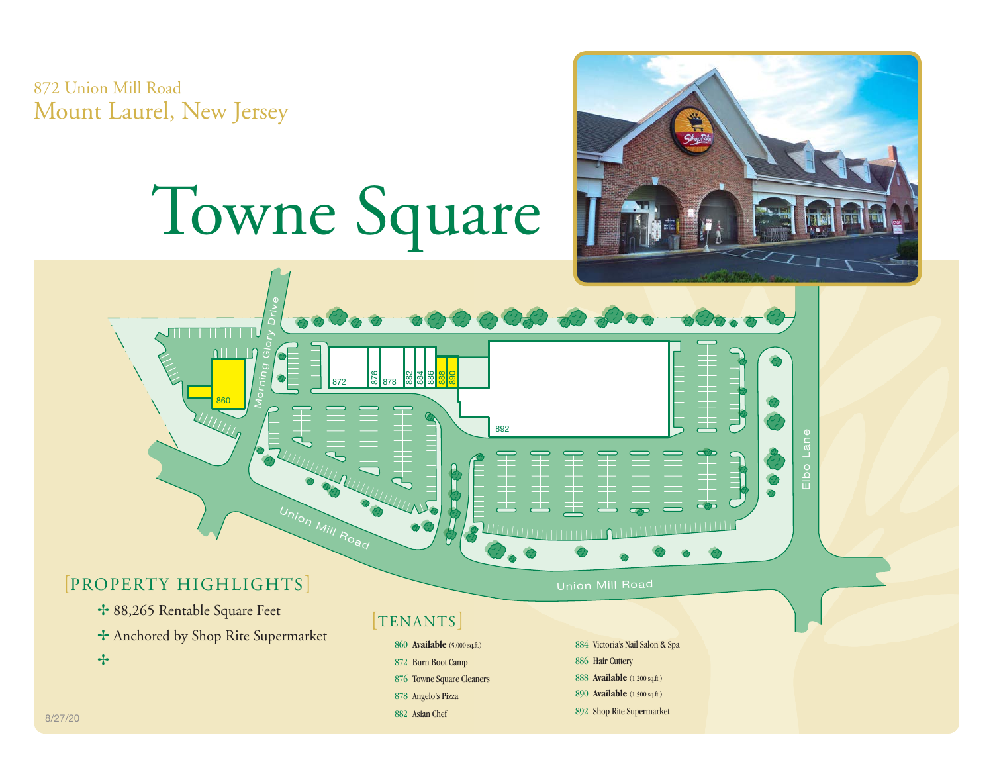872 Union Mill Road Mount Laurel, New Jersey

## Towne Square





876 Towne Square Cleaners 878 Angelo's Pizza 882 Asian Chef

888 **Available** (1,200 sq.ft.) 890 **Available** (1,500 sq.ft.)